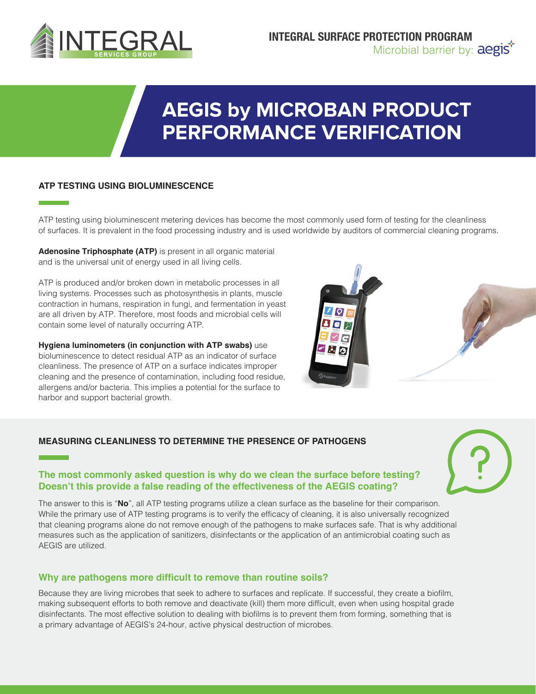

# **AEGIS by MICROBAN PRODUCT PERFORMANCE VERIFICATION**

#### **ATP TESTING USING BIOLUMINESCENCE**

ATP testing using bioluminescent metering devices has become the most commonly used form of testing for the cleanliness of surfaces. It is prevalent in the food processing industry and is used worldwide by auditors of commercial cleaning programs.

**Adenosine Triphosphate (ATP)** is present in all organic material and is the universal unit of energy used in all living cells.

ATP is produced and/or broken down in metabolic processes in all living systems. Processes such as photosynthesis in plants, muscle contraction in humans, respiration in fungi, and fermentation in yeast are all driven by ATP. Therefore, most foods and microbial cells will contain some level of naturally occurring ATP.

**Hygiena luminometers (in conjunction with ATP swabs)** use bioluminescence to detect residual ATP as an indicator of surface cleanliness. The presence of ATP on a surface indicates improper cleaning and the presence of contamination, including food residue, allergens and/or bacteria. This implies a potential for the surface to harbor and support bacterial growth.



#### **MEASURING CLEANLINESS TO DETERMINE THE PRESENCE OF PATHOGENS**

#### **The most commonly asked question is why do we clean the surface before testing? Doesn't this provide a false reading of the effectiveness of the AEGIS coating?**

The answer to this is "**No**", all ATP testing programs utilize a clean surface as the baseline for their comparison. While the primary use of ATP testing programs is to verify the efficacy of cleaning, it is also universally recognized that cleaning programs alone do not remove enough of the pathogens to make surfaces safe. That is why additional measures such as the application of sanitizers, disinfectants or the application of an antimicrobial coating such as AEGIS are utilized.

#### **Why are pathogens more difficult to remove than routine soils?**

Because they are living microbes that seek to adhere to surfaces and replicate. If successful, they create a biofilm, making subsequent efforts to both remove and deactivate (kill) them more difficult, even when using hospital grade disinfectants. The most effective solution to dealing with biofilms is to prevent them from forming, something that is a primary advantage of AEGIS's 24-hour, active physical destruction of microbes.